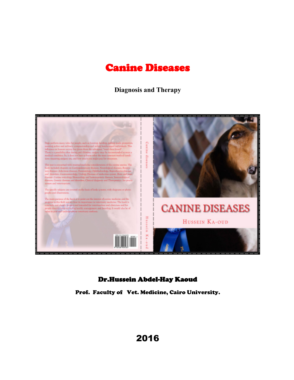# Canine Diseases

### **Diagnosis and Therapy**



### Dr.Hussein Abdel-Hay Kaoud

Prof. Faculty of Vet. Medicine, Cairo University.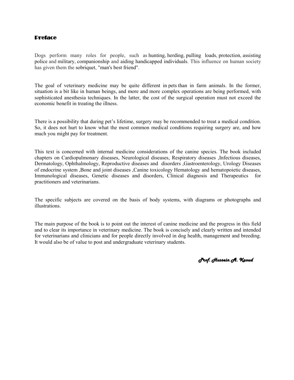#### **Preface**

Dogs perform many roles for people, such as hunting, herding, pulling loads, protection, assisting police and military, companionship and aiding handicapped individuals. This influence on human society has given them the sobriquet, "man's best friend".

The goal of veterinary medicine may be quite different in pets than in farm animals. In the former, situation is a bit like in human beings, and more and more complex operations are being performed, with sophisticated anesthesia techniques. In the latter, the cost of the surgical operation must not exceed the economic benefit in treating the illness.

There is a possibility that during pet's lifetime, surgery may be recommended to treat a medical condition. So, it does not hurt to know what the most common medical conditions requiring surgery are, and how much you might pay for treatment.

This text is concerned with internal medicine considerations of the canine species. The book included chapters on Cardiopulmonary diseases, Neurological diseases, Respiratory diseases ,Infectious diseases, Dermatology, Ophthalmology, Reproductive diseases and disorders ,Gastroenterology, Urology Diseases of endocrine system ,Bone and joint diseases ,Canine toxicology Hematology and hematopoietic diseases, Immunological diseases, Genetic diseases and disorders, Clinical diagnosis and Therapeutics for practitioners and veterinarians.

The specific subjects are covered on the basis of body systems, with diagrams or photographs and illustrations.

The main purpose of the book is to point out the interest of canine medicine and the progress in this field and to clear its importance in veterinary medicine. The book is concisely and clearly written and intended for veterinarians and clinicians and for people directly involved in dog health, management and breeding. It would also be of value to post and undergraduate veterinary students.

Prof. Hussein A. Kaoud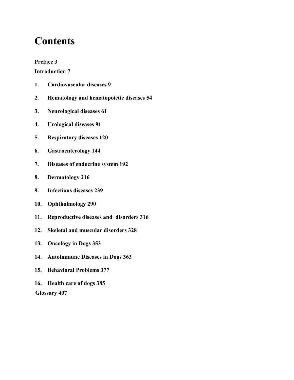# **Contents**

**Preface 3**

**Introduction 7**

- **1. Cardiovascular diseases 9**
- **2. Hematology and hematopoietic diseases 54**
- **3. Neurological diseases 61**
- **4. Urological diseases 91**
- **5. Respiratory diseases 120**
- **6. Gastroenterology 144**
- **7. Diseases of endocrine system 192**
- **8. Dermatology 216**
- **9. Infectious diseases 239**
- **10. Ophthalmology 290**
- **11. Reproductive diseases and disorders 316**
- **12. Skeletal and muscular disorders 328**
- **13. Oncology in Dogs 353**
- **14. Autoimmune Diseases in Dogs 363**
- **15. Behavioral Problems 377**
- **16. Health care of dogs 385**

**Glossary 407**